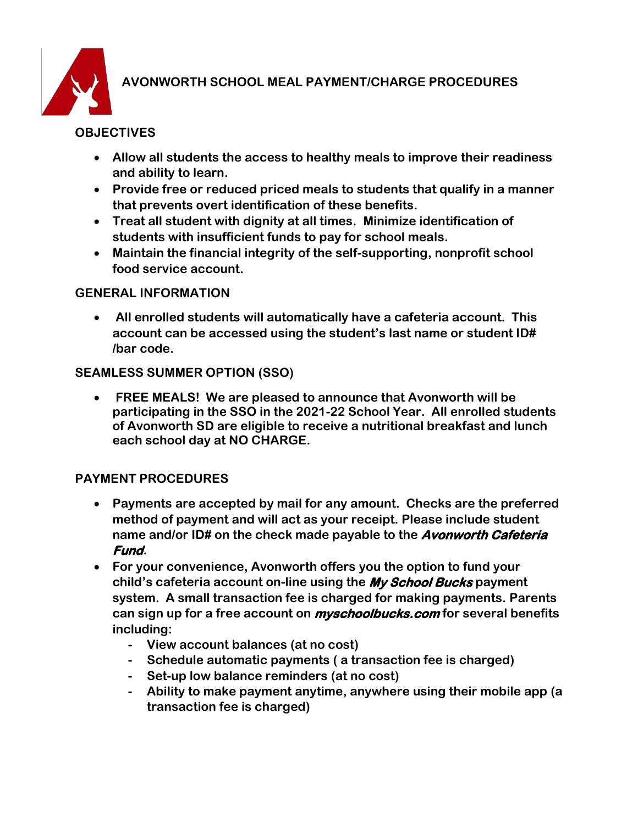

# **AVONWORTH SCHOOL MEAL PAYMENT/CHARGE PROCEDURES**

## **OBJECTIVES**

- **Allow all students the access to healthy meals to improve their readiness and ability to learn.**
- **Provide free or reduced priced meals to students that qualify in a manner that prevents overt identification of these benefits.**
- **Treat all student with dignity at all times. Minimize identification of students with insufficient funds to pay for school meals.**
- **Maintain the financial integrity of the self-supporting, nonprofit school food service account.**

#### **GENERAL INFORMATION**

• **All enrolled students will automatically have a cafeteria account. This account can be accessed using the student's last name or student ID# /bar code.** 

#### **SEAMLESS SUMMER OPTION (SSO)**

• **FREE MEALS! We are pleased to announce that Avonworth will be participating in the SSO in the 2021-22 School Year. All enrolled students of Avonworth SD are eligible to receive a nutritional breakfast and lunch each school day at NO CHARGE.** 

#### **PAYMENT PROCEDURES**

- **Payments are accepted by mail for any amount. Checks are the preferred method of payment and will act as your receipt. Please include student name and/or ID# on the check made payable to the Avonworth Cafeteria Fund.**
- **For your convenience, Avonworth offers you the option to fund your child's cafeteria account on-line using the My School Bucks payment system. A small transaction fee is charged for making payments. Parents can sign up for a free account on myschoolbucks.com for several benefits including:**
	- **- View account balances (at no cost)**
	- **- Schedule automatic payments ( a transaction fee is charged)**
	- **- Set-up low balance reminders (at no cost)**
	- **- Ability to make payment anytime, anywhere using their mobile app (a transaction fee is charged)**